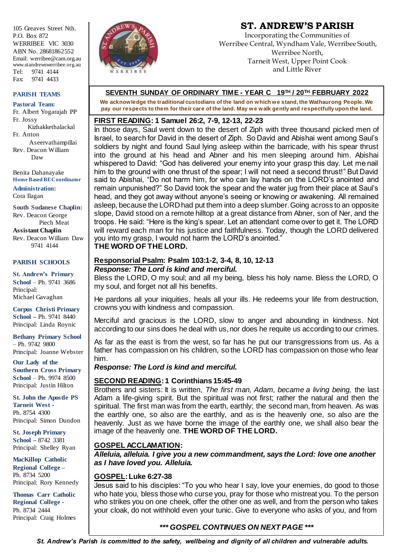105 Greaves Street Nth.  $P \cap \text{Box } 872$ WERRIBEE VIC 3030 ABN No. 28681862552 Email: werribee@cam.org.au www.standrewswerribee.org.au Tel: 9741 4144 Fax: 9741 4433

#### **PARISH TEAMS**

**Pastoral Team:** Fr. Albert Yogarajah PP Fr. Jossy Kizhakkethalackal Fr. Anton Aseervathampillai Rev. Deacon William Daw

Benita Dahanayake **Home Based RE Coordinator**

**Administration:** Cora Ilagan

**South Sudanese Chaplin:** Rev. Deacon George Piech Meat **Assistant Chaplin** Rev. Deacon William Daw 9741 4144

#### **PARISH SCHOOLS**

**St. Andrew's Primary School** – Ph. 9741 3686 Principal: Michael Gavaghan

**Corpus Christi Primary School –** Ph. 9741 8440 Principal: Linda Roynic

**Bethany Primary School** – Ph. 9742 9800 Principal: Joanne Webster

**Our Lady of the Southern Cross Primary School** – Ph. 9974 8500 Principal: Justin Hilton

\

**St. John the Apostle PS Tarneit West -** Ph. 8754 4300 Principal: Simon Dundon

**St. Joseph Primary School –** 8742 3381 Principal: Shelley Ryan

**MacKillop Catholic Regional College –** Ph. 8734 5200 Principal: Rory Kennedy

**Thomas Carr Catholic Regional College -** Ph. 8734 2444 Principal: Craig Holmes



# **ST. ANDREW'S PARISH**

Incorporating the Communities of Werribee Central, Wyndham Vale, Werribee South, Werribee North, Tarneit West, Upper Point Cook and Little River

### **SEVENTH SUNDAY OF ORDINARY TIME - YEAR C 19TH / 20TH FEBRUARY 2022**

**We acknowledge the traditional custodians of the land on which we stand, the Wathaurong People. We pay our respects to them for their care of the land. May we walk gently and respectfully upon the land.**

### **FIRST READING: 1 Samuel 26:2, 7-9, 12-13, 22-23**

In those days, Saul went down to the desert of Ziph with three thousand picked men of Israel, to search for David in the desert of Ziph. So David and Abishai went among Saul's soldiers by night and found Saul lying asleep within the barricade, with his spear thrust into the ground at his head and Abner and his men sleeping around him. Abishai whispered to David: "God has delivered your enemy into your grasp this day. Let me nail him to the ground with one thrust of the spear; I will not need a second thrust!" But David said to Abishai, "Do not harm him, for who can lay hands on the LORD's anointed and remain unpunished?" So David took the spear and the water jug from their place at Saul's head, and they got away without anyone's seeing or knowing or awakening. All remained asleep, because the LORD had put them into a deep slumber. Going across to an opposite slope, David stood on a remote hilltop at a great distance from Abner, son of Ner, and the troops. He said: "Here is the king's spear. Let an attendant come over to get it. The LORD will reward each man for his justice and faithfulness. Today, though the LORD delivered you into my grasp, I would not harm the LORD's anointed." **THE WORD OF THE LORD.**

# **Responsorial Psalm: Psalm 103:1-2, 3-4, 8, 10, 12-13**

#### *Response: The Lord is kind and merciful.*

Bless the LORD, O my soul; and all my being, bless his holy name. Bless the LORD, O my soul, and forget not all his benefits.

He pardons all your iniquities, heals all your ills. He redeems your life from destruction, crowns you with kindness and compassion.

Merciful and gracious is the LORD, slow to anger and abounding in kindness. Not according to our sins does he deal with us, nor does he requite us according to our crimes.

As far as the east is from the west, so far has he put our transgressions from us. As a father has compassion on his children, so the LORD has compassion on those who fear him.

### *Response: The Lord is kind and merciful.*

### **SECOND READING: 1 Corinthians 15:45-49**

Brothers and sisters: It is written, *The first man, Adam, became a living being,* the last Adam a life-giving spirit. But the spiritual was not first; rather the natural and then the spiritual. The first man was from the earth, earthly; the second man, from heaven. As was the earthly one, so also are the earthly, and as is the heavenly one, so also are the heavenly. Just as we have borne the image of the earthly one, we shall also bear the image of the heavenly one. **THE WORD OF THE LORD.**

## **GOSPEL ACCLAMATION:**

*Alleluia, alleluia. I give you a new commandment, says the Lord: love one another as I have loved you. Alleluia.*

### **GOSPEL: Luke 6:27-38**

Jesus said to his disciples: "To you who hear I say, love your enemies, do good to those who hate you, bless those who curse you, pray for those who mistreat you. To the person who strikes you on one cheek, offer the other one as well, and from the person who takes your cloak, do not withhold even your tunic. Give to everyone who asks of you, and from

## *\*\*\* GOSPEL CONTINUES ON NEXT PAGE \*\*\**

*St. Andrew's Parish is committed to the safety, wellbeing and dignity of all children and vulnerable adults.*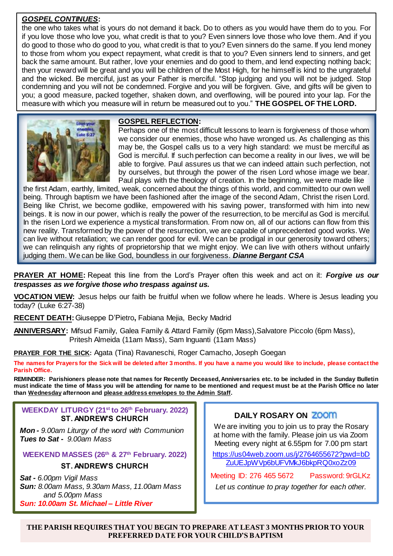### *GOSPEL CONTINUES***:**

the one who takes what is yours do not demand it back. Do to others as you would have them do to you. For if you love those who love you, what credit is that to you? Even sinners love those who love them. And if you do good to those who do good to you, what credit is that to you? Even sinners do the same. If you lend money to those from whom you expect repayment, what credit is that to you? Even sinners lend to sinners, and get back the same amount. But rather, love your enemies and do good to them, and lend expecting nothing back; then your reward will be great and you will be children of the Most High, for he himself is kind to the ungrateful and the wicked. Be merciful, just as your Father is merciful. "Stop judging and you will not be judged. Stop condemning and you will not be condemned. Forgive and you will be forgiven. Give, and gifts will be given to you; a good measure, packed together, shaken down, and overflowing, will be poured into your lap. For the measure with which you measure will in return be measured out to you." **THE GOSPEL OF THE LORD.**



#### **GOSPEL REFLECTION:**

Perhaps one of the most difficult lessons to learn is forgiveness of those whom we consider our enemies, those who have wronged us. As challenging as this may be, the Gospel calls us to a very high standard: we must be merciful as God is merciful. If such perfection can become a reality in our lives, we will be able to forgive. Paul assures us that we can indeed attain such perfection, not by ourselves, but through the power of the risen Lord whose image we bear. Paul plays with the theology of creation. In the beginning, we were made like

the first Adam, earthly, limited, weak, concerned about the things of this world, and committed to our own well being. Through baptism we have been fashioned after the image of the second Adam, Christ the risen Lord. Being like Christ, we become godlike, empowered with his saving power, transformed with him into new beings. It is now in our power, which is really the power of the resurrection, to be merciful as God is merciful. In the risen Lord we experience a mystical transformation. From now on, all of our actions can flow from this new reality. Transformed by the power of the resurrection, we are capable of unprecedented good works. We can live without retaliation; we can render good for evil. We can be prodigal in our generosity toward others; we can relinquish any rights of proprietorship that we might enjoy. We can live with others without unfairly judging them. We can be like God, boundless in our forgiveness. *Dianne Bergant CSA* 

**PRAYER AT HOME:** Repeat this line from the Lord's Prayer often this week and act on it: *Forgive us our trespasses as we forgive those who trespass against us.*

**VOCATION VIEW:** Jesus helps our faith be fruitful when we follow where he leads. Where is Jesus leading you today? (Luke 6:27-38)

**RECENT DEATH:**Giuseppe D'Pietro**,** Fabiana Mejia, Becky Madrid

**ANNIVERSARY:** Mifsud Family, Galea Family & Attard Family (6pm Mass),Salvatore Piccolo (6pm Mass), Pritesh Almeida (11am Mass), Sam Inguanti (11am Mass)

**PRAYER FOR THE SICK:** Agata (Tina) Ravaneschi, Roger Camacho, Joseph Goegan

**The names for Prayers for the Sick will be deleted after 3 months. If you have a name you would like to include, please contact the Parish Office.**

**REMINDER: Parishioners please note that names for Recently Deceased, Anniversaries etc. to be included in the Sunday Bulletin must indicate the time of Mass you will be attending for name to be mentioned and request must be at the Parish Office no later than Wednesday afternoon and please address envelopes to the Admin Staff.** 

### **WEEKDAY LITURGY (21st to 26th February. 2022) ST. ANDREW'S CHURCH**

*Mon - 9.00am Liturgy of the word with Communion Tues to Sat - 9.00am Mass*

**WEEKEND MASSES (26th & 27th February. 2022)**

## **ST. ANDREW'S CHURCH**

*Sat - 6.00pm Vigil Mass Sun: 8.00am Mass, 9.30am Mass, 11.00am Mass and 5.00pm Mass Sun: 10.00am St. Michael – Little River*

### **DAILY ROSARY ON**

We are inviting you to join us to pray the Rosary at home with the family. Please join us via Zoom Meeting every night at 6.55pm for 7.00 pm start

https://us04web.zoom.us/j/2764655672?pwd=bD ZuUEJpWVp6bUFVMkJ6bkpRQ0xoZz09

Meeting ID: 276 465 5672 Password: 9rGLKz

*Let us continue to pray together for each other.*

**THE PARISH REQUIRES THAT YOU BEGIN TO PREPARE AT LEAST 3 MONTHS PRIOR TO YOUR PREFERRED DATE FOR YOUR CHILD'S BAPTISM**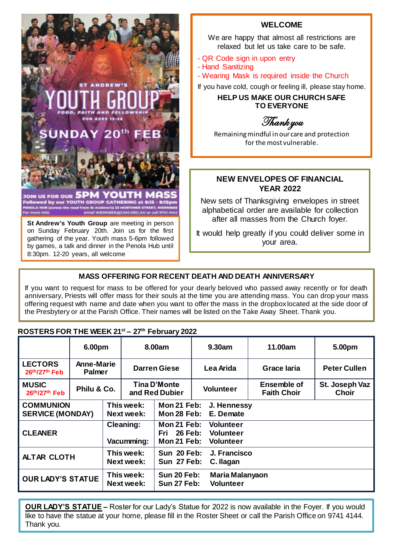

### **WELCOME**

We are happy that almost all restrictions are relaxed but let us take care to be safe.

- QR Code sign in upon entry
- Hand Sanitizing
- Wearing Mask is required inside the Church

If you have cold, cough or feeling ill, please stay home.

## **HELP US MAKE OUR CHURCH SAFE TO EVERYONE**

Thank you

Remaining mindful in our care and protection for the most vulnerable.

## **NEW ENVELOPES OF FINANCIAL YEAR 2022**

New sets of Thanksgiving envelopes in street alphabetical order are available for collection after all masses from the Church foyer.

It would help greatly if you could deliver some in your area.

#### Parish. **MASS OFFERING FOR RECENT DEATH AND DEATH ANNIVERSARY**

.

If you want to request for mass to be offered for your dearly beloved who passed away recently or for death anniversary, Priests will offer mass for their souls at the time you are attending mass. You can drop your mass offering request with name and date when you want to offer the mass in the dropbox located at the side door of the Presbytery or at the Parish Office. Their names will be listed on the Take Away Sheet. Thank you.

# **ROSTERS FOR THE WEEK 21st – 27 th February 2022**

|                                             | 6.00pm                             |                                 | 8.00am                         |                                                        | 9.30am                                                   | 11.00am                                  | 5.00pm                  |
|---------------------------------------------|------------------------------------|---------------------------------|--------------------------------|--------------------------------------------------------|----------------------------------------------------------|------------------------------------------|-------------------------|
| <b>LECTORS</b><br>26th/27th Feb             | <b>Anne-Marie</b><br><b>Palmer</b> |                                 | <b>Darren Giese</b>            |                                                        | Lea Arida                                                | <b>Grace laria</b>                       | <b>Peter Cullen</b>     |
| <b>MUSIC</b><br>$26th/27th$ Feb             | Philu & Co.                        |                                 | Tina D'Monte<br>and Red Dubier |                                                        | <b>Volunteer</b>                                         | <b>Ensemble of</b><br><b>Faith Choir</b> | St. Joseph Vaz<br>Choir |
| <b>COMMUNION</b><br><b>SERVICE (MONDAY)</b> |                                    | This week:<br><b>Next week:</b> |                                | Mon 21 Feb:<br>J. Hennessy<br>Mon 28 Feb:<br>E. Demate |                                                          |                                          |                         |
| <b>CLEANER</b>                              |                                    | Cleaning:<br>Vacumming:         |                                | Mon 21 Feb:<br>Fri 26 Feb:<br>Mon 21 Feb:              | <b>Volunteer</b><br><b>Volunteer</b><br><b>Volunteer</b> |                                          |                         |
| <b>ALTAR CLOTH</b>                          |                                    | This week:<br><b>Next week:</b> |                                | <b>Sun 20 Feb:</b><br>Sun 27 Feb:                      | J. Francisco<br>C. Ilagan                                |                                          |                         |
| <b>OUR LADY'S STATUE</b>                    |                                    | This week:<br>Next week:        |                                | <b>Sun 20 Feb:</b><br>Sun 27 Feb:                      | Maria Malanyaon<br><b>Volunteer</b>                      |                                          |                         |

**OUR LADY'S STATUE –** Roster for our Lady's Statue for 2022 is now available in the Foyer. If you would like to have the statue at your home, please fill in the Roster Sheet or call the Parish Office on 9741 4144. Thank you.